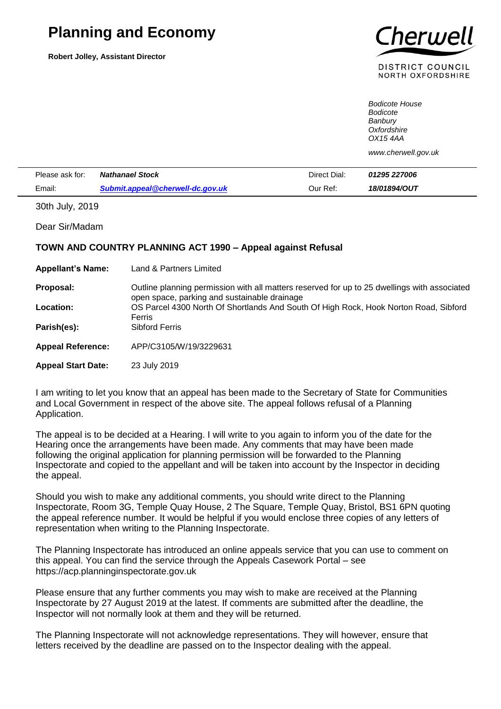## **Planning and Economy**

**Robert Jolley, Assistant Director**



DISTRICT COUNCIL **NORTH OXFORDSHIRE** 

*Bodicote House Bodicote Banbury Oxfordshire OX15 4AA*

*www.cherwell.gov.uk*

| Please ask for: | <b>Nathanael Stock</b>           | Direct Dial: | <i><b>01295 227006</b></i> |  |
|-----------------|----------------------------------|--------------|----------------------------|--|
| Fmail:          | Submit.appeal@cherwell-dc.gov.uk | Our Ref:     | 18/01894/OUT               |  |

30th July, 2019

Dear Sir/Madam

## **TOWN AND COUNTRY PLANNING ACT 1990 – Appeal against Refusal**

| <b>Appellant's Name:</b>  | Land & Partners Limited                                                                                                                      |
|---------------------------|----------------------------------------------------------------------------------------------------------------------------------------------|
| Proposal:                 | Outline planning permission with all matters reserved for up to 25 dwellings with associated<br>open space, parking and sustainable drainage |
| Location:                 | OS Parcel 4300 North Of Shortlands And South Of High Rock, Hook Norton Road, Sibford                                                         |
| Parish(es):               | Ferris<br>Sibford Ferris                                                                                                                     |
| <b>Appeal Reference:</b>  | APP/C3105/W/19/3229631                                                                                                                       |
| <b>Appeal Start Date:</b> | 23 July 2019                                                                                                                                 |

I am writing to let you know that an appeal has been made to the Secretary of State for Communities and Local Government in respect of the above site. The appeal follows refusal of a Planning Application.

The appeal is to be decided at a Hearing. I will write to you again to inform you of the date for the Hearing once the arrangements have been made. Any comments that may have been made following the original application for planning permission will be forwarded to the Planning Inspectorate and copied to the appellant and will be taken into account by the Inspector in deciding the appeal.

Should you wish to make any additional comments, you should write direct to the Planning Inspectorate, Room 3G, Temple Quay House, 2 The Square, Temple Quay, Bristol, BS1 6PN quoting the appeal reference number. It would be helpful if you would enclose three copies of any letters of representation when writing to the Planning Inspectorate.

The Planning Inspectorate has introduced an online appeals service that you can use to comment on this appeal. You can find the service through the Appeals Casework Portal – see https://acp.planninginspectorate.gov.uk

Please ensure that any further comments you may wish to make are received at the Planning Inspectorate by 27 August 2019 at the latest. If comments are submitted after the deadline, the Inspector will not normally look at them and they will be returned.

The Planning Inspectorate will not acknowledge representations. They will however, ensure that letters received by the deadline are passed on to the Inspector dealing with the appeal.